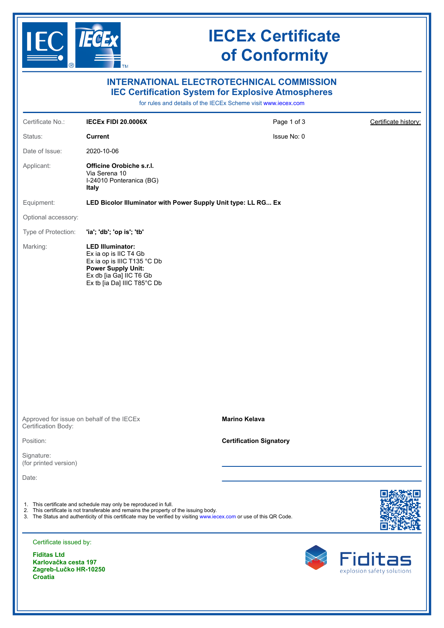

# **IECEx Certificate of Conformity**

| <b>INTERNATIONAL ELECTROTECHNICAL COMMISSION</b><br><b>IEC Certification System for Explosive Atmospheres</b><br>for rules and details of the IECEx Scheme visit www.iecex.com |                                                                                                                                                                                                                                                                                   |                                |                         |  |
|--------------------------------------------------------------------------------------------------------------------------------------------------------------------------------|-----------------------------------------------------------------------------------------------------------------------------------------------------------------------------------------------------------------------------------------------------------------------------------|--------------------------------|-------------------------|--|
| Certificate No.:                                                                                                                                                               | <b>IECEX FIDI 20.0006X</b>                                                                                                                                                                                                                                                        | Page 1 of 3                    | Certificate history:    |  |
| Status:                                                                                                                                                                        | <b>Current</b>                                                                                                                                                                                                                                                                    | Issue No: 0                    |                         |  |
| Date of Issue:                                                                                                                                                                 | 2020-10-06                                                                                                                                                                                                                                                                        |                                |                         |  |
| Applicant:                                                                                                                                                                     | Officine Orobiche s.r.l.<br>Via Serena 10<br>I-24010 Ponteranica (BG)<br>Italy                                                                                                                                                                                                    |                                |                         |  |
| Equipment:                                                                                                                                                                     | LED Bicolor Illuminator with Power Supply Unit type: LL RG Ex                                                                                                                                                                                                                     |                                |                         |  |
| Optional accessory:                                                                                                                                                            |                                                                                                                                                                                                                                                                                   |                                |                         |  |
| Type of Protection:                                                                                                                                                            | 'ia'; 'db'; 'op is'; 'tb'                                                                                                                                                                                                                                                         |                                |                         |  |
| Marking:                                                                                                                                                                       | <b>LED Illuminator:</b><br>Ex ia op is IIC T4 Gb<br>Ex ia op is IIIC T135 °C Db<br><b>Power Supply Unit:</b><br>Ex db [ia Ga] IIC T6 Gb<br>Ex tb [ia Da] IIIC T85°C Db                                                                                                            |                                |                         |  |
| Approved for issue on behalf of the IECEx<br>Certification Body:                                                                                                               |                                                                                                                                                                                                                                                                                   | <b>Marino Kelava</b>           |                         |  |
| Position:                                                                                                                                                                      |                                                                                                                                                                                                                                                                                   | <b>Certification Signatory</b> |                         |  |
| Signature:<br>(for printed version)                                                                                                                                            |                                                                                                                                                                                                                                                                                   |                                |                         |  |
| Date:                                                                                                                                                                          |                                                                                                                                                                                                                                                                                   |                                |                         |  |
|                                                                                                                                                                                | 1. This certificate and schedule may only be reproduced in full.<br>2. This certificate is not transferable and remains the property of the issuing body.<br>3. The Status and authenticity of this certificate may be verified by visiting www.iecex.com or use of this QR Code. |                                |                         |  |
| Certificate issued by:                                                                                                                                                         |                                                                                                                                                                                                                                                                                   |                                | <b><i>R</i></b> Fiditas |  |
| <b>Fiditas Ltd</b><br>Karlovaška sasta 407                                                                                                                                     |                                                                                                                                                                                                                                                                                   |                                |                         |  |

**Karlovačka cesta 197 Zagreb-Lučko HR-10250 Croatia**

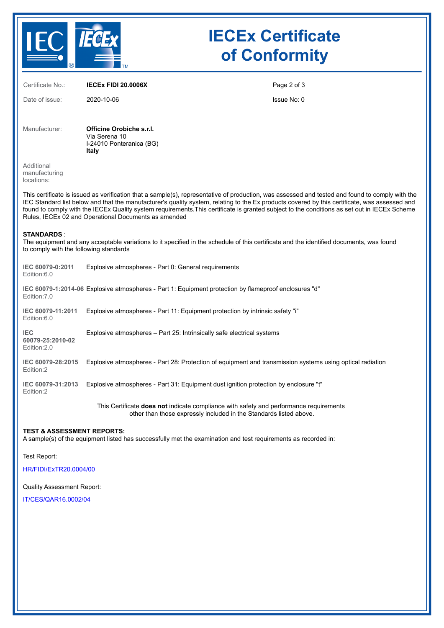

## **IECEx Certificate of Conformity**

| Certificate No.:                                                                                                                                                                                                                                                                                                                                                                                                                                                                                         | <b>IECEX FIDI 20.0006X</b>                                                                                                                                   | Page 2 of 3 |  |  |
|----------------------------------------------------------------------------------------------------------------------------------------------------------------------------------------------------------------------------------------------------------------------------------------------------------------------------------------------------------------------------------------------------------------------------------------------------------------------------------------------------------|--------------------------------------------------------------------------------------------------------------------------------------------------------------|-------------|--|--|
| Date of issue:                                                                                                                                                                                                                                                                                                                                                                                                                                                                                           | 2020-10-06                                                                                                                                                   | Issue No: 0 |  |  |
| Manufacturer:                                                                                                                                                                                                                                                                                                                                                                                                                                                                                            | Officine Orobiche s.r.l.<br>Via Serena 10<br>I-24010 Ponteranica (BG)<br>Italy                                                                               |             |  |  |
| Additional<br>manufacturing<br>locations:                                                                                                                                                                                                                                                                                                                                                                                                                                                                |                                                                                                                                                              |             |  |  |
| This certificate is issued as verification that a sample(s), representative of production, was assessed and tested and found to comply with the<br>IEC Standard list below and that the manufacturer's quality system, relating to the Ex products covered by this certificate, was assessed and<br>found to comply with the IECEx Quality system requirements. This certificate is granted subject to the conditions as set out in IECEx Scheme<br>Rules, IECEx 02 and Operational Documents as amended |                                                                                                                                                              |             |  |  |
| <b>STANDARDS</b> :<br>The equipment and any acceptable variations to it specified in the schedule of this certificate and the identified documents, was found<br>to comply with the following standards                                                                                                                                                                                                                                                                                                  |                                                                                                                                                              |             |  |  |
| IEC 60079-0:2011<br>Edition:6.0                                                                                                                                                                                                                                                                                                                                                                                                                                                                          | Explosive atmospheres - Part 0: General requirements                                                                                                         |             |  |  |
| IEC 60079-1:2014-06 Explosive atmospheres - Part 1: Equipment protection by flameproof enclosures "d"<br>Edition: 7.0                                                                                                                                                                                                                                                                                                                                                                                    |                                                                                                                                                              |             |  |  |
| IEC 60079-11:2011<br>Edition:6.0                                                                                                                                                                                                                                                                                                                                                                                                                                                                         | Explosive atmospheres - Part 11: Equipment protection by intrinsic safety "i"                                                                                |             |  |  |
| <b>IEC</b><br>60079-25:2010-02<br>Edition: 2.0                                                                                                                                                                                                                                                                                                                                                                                                                                                           | Explosive atmospheres – Part 25: Intrinsically safe electrical systems                                                                                       |             |  |  |
| IEC 60079-28:2015<br>Edition:2                                                                                                                                                                                                                                                                                                                                                                                                                                                                           | Explosive atmospheres - Part 28: Protection of equipment and transmission systems using optical radiation                                                    |             |  |  |
| IEC 60079-31:2013<br>Edition:2                                                                                                                                                                                                                                                                                                                                                                                                                                                                           | Explosive atmospheres - Part 31: Equipment dust ignition protection by enclosure "t"                                                                         |             |  |  |
|                                                                                                                                                                                                                                                                                                                                                                                                                                                                                                          | This Certificate does not indicate compliance with safety and performance requirements<br>other than those expressly included in the Standards listed above. |             |  |  |

**TEST & ASSESSMENT REPORTS:** A sample(s) of the equipment listed has successfully met the examination and test requirements as recorded in:

Test Report:

[HR/FIDI/ExTR20.0004/00](https://www.iecex-certs.com/deliverables/REPORT/66868/view)

Quality Assessment Report:

[IT/CES/QAR16.0002/04](https://www.iecex-certs.com/deliverables/REPORT/64446/view)